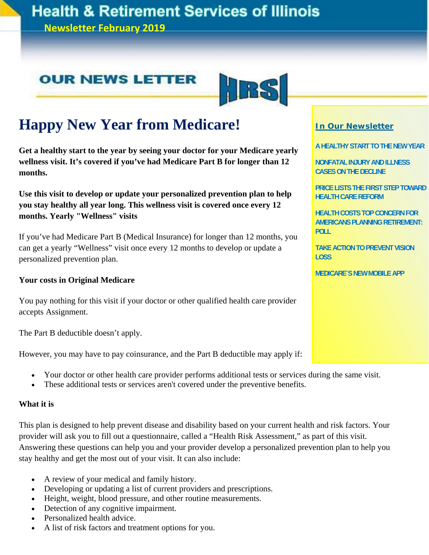## **Health & Retirement Services of Illinois**

**Newsletter February 2019**

### **OUR NEWS LETTER**



## **Happy New Year from Medicare!**

**Get a healthy start to the year by seeing your doctor for your Medicare yearly wellness visit. It's covered if you've had Medicare Part B for longer than 12 months.** 

**Use this visit to develop or update your personalized prevention plan to help you stay healthy all year long. This wellness visit is covered once every 12 months. Yearly "Wellness" visits** 

If you've had Medicare Part B (Medical Insurance) for longer than 12 months, you can get a yearly "Wellness" visit once every 12 months to develop or update a personalized prevention plan.

### **Your costs in Original Medicare**

You pay nothing for this visit if your doctor or other qualified health care provider accepts Assignment.

The Part B deductible doesn't apply.

However, you may have to pay coinsurance, and the Part B deductible may apply if:

- Your doctor or other health care provider performs additional tests or services during the same visit.
- These additional tests or services aren't covered under the preventive benefits.

### **What it is**

This plan is designed to help prevent disease and disability based on your current health and risk factors. Your provider will ask you to fill out a questionnaire, called a "Health Risk Assessment," as part of this visit. Answering these questions can help you and your provider develop a personalized prevention plan to help you stay healthy and get the most out of your visit. It can also include:

- A review of your medical and family history.
- Developing or updating a list of current providers and prescriptions.
- Height, weight, blood pressure, and other routine measurements.
- Detection of any cognitive impairment.
- Personalized health advice.
- A list of risk factors and treatment options for you.

### **In Our Newsletter**

**A HEALTHY START TO THE NEW YEAR** 

**NONFATAL INJURY AND ILLNESS CASES ON THE DECLINE** 

**PRICE LISTS THE FIRST STEP TOWARD HEALTH CARE REFORM** 

**HEALTH COSTS TOP CONCERN FOR AMERICANS PLANNING RETIREMENT: POLL** 

**TAKE ACTION TO PREVENT VISION LOSS** 

**MEDICARE`S NEW MOBILE APP**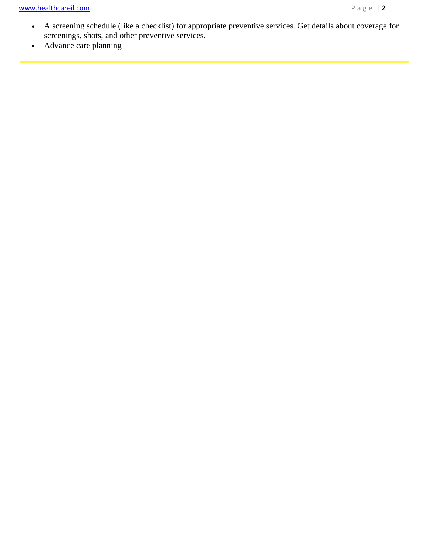I

- A screening schedule (like a checklist) for appropriate preventive services. Get details about coverage for screenings, shots, and other preventive services.
- Advance care planning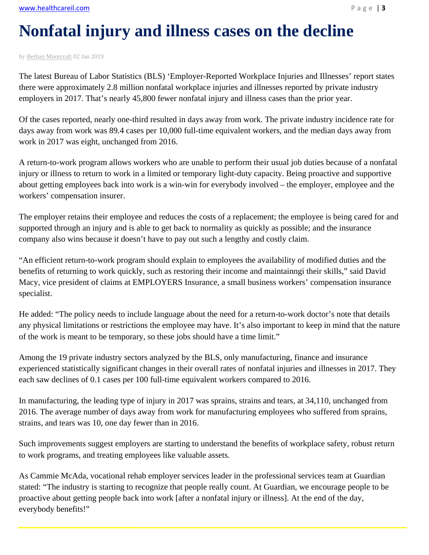# **Nonfatal injury and illness cases on the decline**

by Bethan Moorcraft 02 Jan 2019

Ĩ

The latest Bureau of Labor Statistics (BLS) 'Employer-Reported Workplace Injuries and Illnesses' report states there were approximately 2.8 million nonfatal workplace injuries and illnesses reported by private industry employers in 2017. That's nearly 45,800 fewer nonfatal injury and illness cases than the prior year.

Of the cases reported, nearly one-third resulted in days away from work. The private industry incidence rate for days away from work was 89.4 cases per 10,000 full-time equivalent workers, and the median days away from work in 2017 was eight, unchanged from 2016.

A return-to-work program allows workers who are unable to perform their usual job duties because of a nonfatal injury or illness to return to work in a limited or temporary light-duty capacity. Being proactive and supportive about getting employees back into work is a win-win for everybody involved – the employer, employee and the workers' compensation insurer.

The employer retains their employee and reduces the costs of a replacement; the employee is being cared for and supported through an injury and is able to get back to normality as quickly as possible; and the insurance company also wins because it doesn't have to pay out such a lengthy and costly claim.

"An efficient return-to-work program should explain to employees the availability of modified duties and the benefits of returning to work quickly, such as restoring their income and maintainngi their skills," said David Macy, vice president of claims at EMPLOYERS Insurance, a small business workers' compensation insurance specialist.

He added: "The policy needs to include language about the need for a return-to-work doctor's note that details any physical limitations or restrictions the employee may have. It's also important to keep in mind that the nature of the work is meant to be temporary, so these jobs should have a time limit."

Among the 19 private industry sectors analyzed by the BLS, only manufacturing, finance and insurance experienced statistically significant changes in their overall rates of nonfatal injuries and illnesses in 2017. They each saw declines of 0.1 cases per 100 full-time equivalent workers compared to 2016.

In manufacturing, the leading type of injury in 2017 was sprains, strains and tears, at 34,110, unchanged from 2016. The average number of days away from work for manufacturing employees who suffered from sprains, strains, and tears was 10, one day fewer than in 2016.

Such improvements suggest employers are starting to understand the benefits of workplace safety, robust return to work programs, and treating employees like valuable assets.

As Cammie McAda, vocational rehab employer services leader in the professional services team at Guardian stated: "The industry is starting to recognize that people really count. At Guardian, we encourage people to be proactive about getting people back into work [after a nonfatal injury or illness]. At the end of the day, everybody benefits!"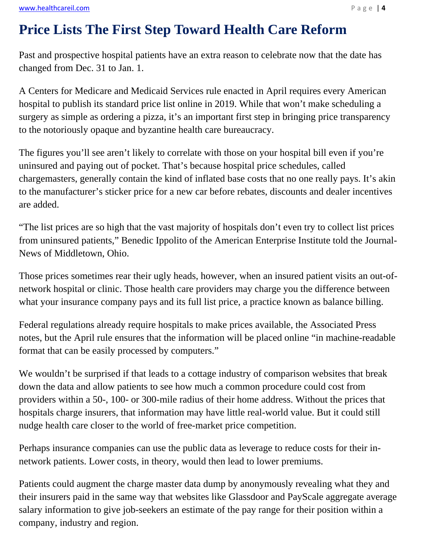## **Price Lists The First Step Toward Health Care Reform**

Past and prospective hospital patients have an extra reason to celebrate now that the date has changed from Dec. 31 to Jan. 1.

A Centers for Medicare and Medicaid Services rule enacted in April requires every American hospital to publish its standard price list online in 2019. While that won't make scheduling a surgery as simple as ordering a pizza, it's an important first step in bringing price transparency to the notoriously opaque and byzantine health care bureaucracy.

The figures you'll see aren't likely to correlate with those on your hospital bill even if you're uninsured and paying out of pocket. That's because hospital price schedules, called chargemasters, generally contain the kind of inflated base costs that no one really pays. It's akin to the manufacturer's sticker price for a new car before rebates, discounts and dealer incentives are added.

"The list prices are so high that the vast majority of hospitals don't even try to collect list prices from uninsured patients," Benedic Ippolito of the American Enterprise Institute told the Journal-News of Middletown, Ohio.

Those prices sometimes rear their ugly heads, however, when an insured patient visits an out-ofnetwork hospital or clinic. Those health care providers may charge you the difference between what your insurance company pays and its full list price, a practice known as balance billing.

Federal regulations already require hospitals to make prices available, the Associated Press notes, but the April rule ensures that the information will be placed online "in machine-readable format that can be easily processed by computers."

We wouldn't be surprised if that leads to a cottage industry of comparison websites that break down the data and allow patients to see how much a common procedure could cost from providers within a 50-, 100- or 300-mile radius of their home address. Without the prices that hospitals charge insurers, that information may have little real-world value. But it could still nudge health care closer to the world of free-market price competition.

Perhaps insurance companies can use the public data as leverage to reduce costs for their innetwork patients. Lower costs, in theory, would then lead to lower premiums.

Patients could augment the charge master data dump by anonymously revealing what they and their insurers paid in the same way that websites like Glassdoor and PayScale aggregate average salary information to give job-seekers an estimate of the pay range for their position within a company, industry and region.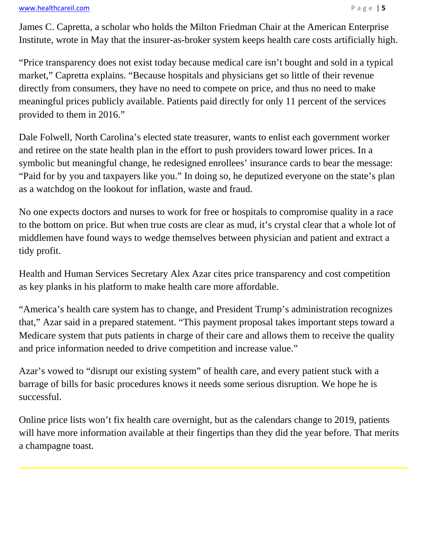### www.healthcareil.com **Department of the COVID-10** and Department of the Page | 5

j

James C. Capretta, a scholar who holds the Milton Friedman Chair at the American Enterprise Institute, wrote in May that the insurer-as-broker system keeps health care costs artificially high.

"Price transparency does not exist today because medical care isn't bought and sold in a typical market," Capretta explains. "Because hospitals and physicians get so little of their revenue directly from consumers, they have no need to compete on price, and thus no need to make meaningful prices publicly available. Patients paid directly for only 11 percent of the services provided to them in 2016."

Dale Folwell, North Carolina's elected state treasurer, wants to enlist each government worker and retiree on the state health plan in the effort to push providers toward lower prices. In a symbolic but meaningful change, he redesigned enrollees' insurance cards to bear the message: "Paid for by you and taxpayers like you." In doing so, he deputized everyone on the state's plan as a watchdog on the lookout for inflation, waste and fraud.

No one expects doctors and nurses to work for free or hospitals to compromise quality in a race to the bottom on price. But when true costs are clear as mud, it's crystal clear that a whole lot of middlemen have found ways to wedge themselves between physician and patient and extract a tidy profit.

Health and Human Services Secretary Alex Azar cites price transparency and cost competition as key planks in his platform to make health care more affordable.

"America's health care system has to change, and President Trump's administration recognizes that," Azar said in a prepared statement. "This payment proposal takes important steps toward a Medicare system that puts patients in charge of their care and allows them to receive the quality and price information needed to drive competition and increase value."

Azar's vowed to "disrupt our existing system" of health care, and every patient stuck with a barrage of bills for basic procedures knows it needs some serious disruption. We hope he is successful.

Online price lists won't fix health care overnight, but as the calendars change to 2019, patients will have more information available at their fingertips than they did the year before. That merits a champagne toast.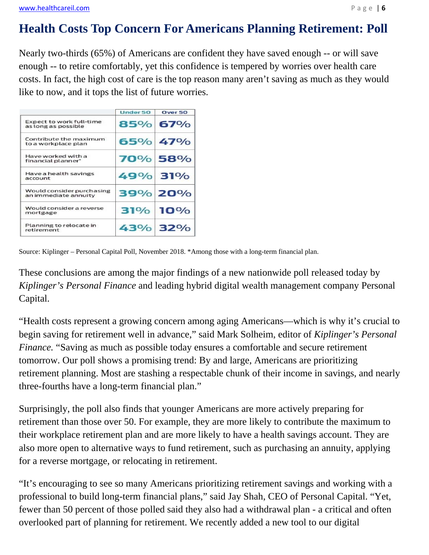### **Health Costs Top Concern For Americans Planning Retirement: Poll**

Nearly two-thirds (65%) of Americans are confident they have saved enough -- or will save enough -- to retire comfortably, yet this confidence is tempered by worries over health care costs. In fact, the high cost of care is the top reason many aren't saving as much as they would like to now, and it tops the list of future worries.

|                                                        | Under 50 | Over <sub>50</sub> |
|--------------------------------------------------------|----------|--------------------|
| <b>Expect to work full-time</b><br>as long as possible |          | 85% 67%            |
| Contribute the maximum<br>to a workplace plan          |          | 65% 47%            |
| Have worked with a<br>financial planner*               |          | 70% 58%            |
| Have a health savings<br>account                       | 49% 31%  |                    |
| Would consider purchasing<br>an immediate annuity      |          | 39% 20%            |
| Would consider a reverse<br>mortgage                   |          | 31% 10%            |
| Planning to relocate in<br>retirement                  |          | 43% 32%            |

Source: Kiplinger – Personal Capital Poll, November 2018. \*Among those with a long-term financial plan.

These conclusions are among the major findings of a new nationwide poll released today by *Kiplinger's Personal Finance* and leading hybrid digital wealth management company Personal Capital.

"Health costs represent a growing concern among aging Americans—which is why it's crucial to begin saving for retirement well in advance," said Mark Solheim, editor of *Kiplinger's Personal Finance*. "Saving as much as possible today ensures a comfortable and secure retirement tomorrow. Our poll shows a promising trend: By and large, Americans are prioritizing retirement planning. Most are stashing a respectable chunk of their income in savings, and nearly three-fourths have a long-term financial plan."

Surprisingly, the poll also finds that younger Americans are more actively preparing for retirement than those over 50. For example, they are more likely to contribute the maximum to their workplace retirement plan and are more likely to have a health savings account. They are also more open to alternative ways to fund retirement, such as purchasing an annuity, applying for a reverse mortgage, or relocating in retirement.

"It's encouraging to see so many Americans prioritizing retirement savings and working with a professional to build long-term financial plans," said Jay Shah, CEO of Personal Capital. "Yet, fewer than 50 percent of those polled said they also had a withdrawal plan - a critical and often overlooked part of planning for retirement. We recently added a new tool to our digital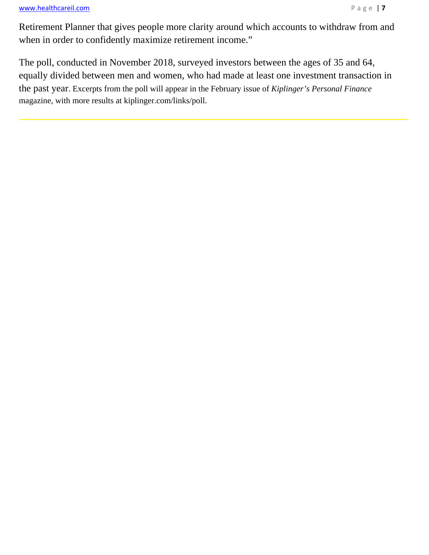### www.healthcareil.com *N*  $\theta$  a g e | **7**

I

Retirement Planner that gives people more clarity around which accounts to withdraw from and when in order to confidently maximize retirement income."

The poll, conducted in November 2018, surveyed investors between the ages of 35 and 64, equally divided between men and women, who had made at least one investment transaction in the past year. Excerpts from the poll will appear in the February issue of *Kiplinger's Personal Finance* magazine, with more results at kiplinger.com/links/poll.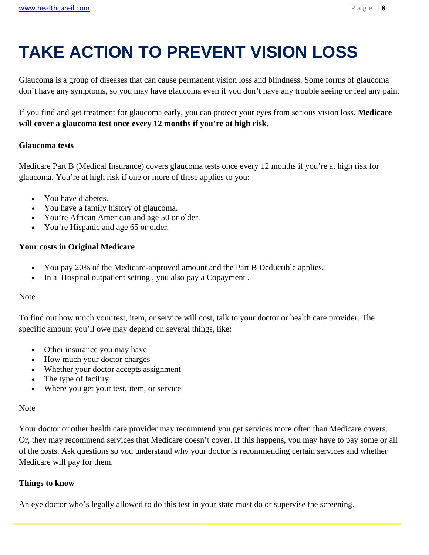# **TAKE ACTION TO PREVENT VISION LOSS**

Glaucoma is a group of diseases that can cause permanent vision loss and blindness. Some forms of glaucoma don't have any symptoms, so you may have glaucoma even if you don't have any trouble seeing or feel any pain.

If you find and get treatment for glaucoma early, you can protect your eyes from serious vision loss. **Medicare will cover a glaucoma test once every 12 months if you're at high risk.** 

### **Glaucoma tests**

Medicare Part B (Medical Insurance) covers glaucoma tests once every 12 months if you're at high risk for glaucoma. You're at high risk if one or more of these applies to you:

- You have diabetes.
- You have a family history of glaucoma.
- You're African American and age 50 or older.
- You're Hispanic and age 65 or older.

### **Your costs in Original Medicare**

- You pay 20% of the Medicare-approved amount and the Part B Deductible applies.
- In a Hospital outpatient setting, you also pay a Copayment.

### Note

To find out how much your test, item, or service will cost, talk to your doctor or health care provider. The specific amount you'll owe may depend on several things, like:

- Other insurance you may have
- How much your doctor charges
- Whether your doctor accepts assignment
- The type of facility
- Where you get your test, item, or service

### Note

Your doctor or other health care provider may recommend you get services more often than Medicare covers. Or, they may recommend services that Medicare doesn't cover. If this happens, you may have to pay some or all of the costs. Ask questions so you understand why your doctor is recommending certain services and whether Medicare will pay for them.

### **Things to know**

An eye doctor who's legally allowed to do this test in your state must do or supervise the screening.